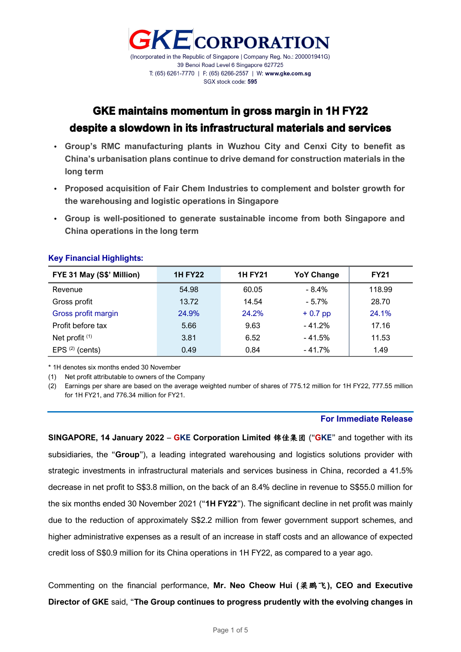

### GKE maintains momentum in gross margin in 1H FY22 despite a slowdown in its infrastructural materials and services

- **Group's RMC manufacturing plants in Wuzhou City and Cenxi City to benefit as China's urbanisation plans continue to drive demand for construction materials in the long term**
- **Proposed acquisition of Fair Chem Industries to complement and bolster growth for the warehousing and logistic operations in Singapore**
- **Group is well-positioned to generate sustainable income from both Singapore and China operations in the long term**

| FYE 31 May (S\$' Million) | <b>1H FY22</b> | <b>1H FY21</b> | <b>YoY Change</b> | <b>FY21</b> |
|---------------------------|----------------|----------------|-------------------|-------------|
| Revenue                   | 54.98          | 60.05          | $-8.4\%$          | 118.99      |
| Gross profit              | 13.72          | 14.54          | $-5.7\%$          | 28.70       |
| Gross profit margin       | 24.9%          | 24.2%          | $+0.7$ pp         | 24.1%       |
| Profit before tax         | 5.66           | 9.63           | $-41.2%$          | 17.16       |
| Net profit <sup>(1)</sup> | 3.81           | 6.52           | $-41.5%$          | 11.53       |
| EPS $(2)$ (cents)         | 0.49           | 0.84           | $-41.7%$          | 1.49        |

#### **Key Financial Highlights:**

\* 1H denotes six months ended 30 November

(1) Net profit attributable to owners of the Company

(2) Earnings per share are based on the average weighted number of shares of 775.12 million for 1H FY22, 777.55 million for 1H FY21, and 776.34 million for FY21.

#### **For Immediate Release**

**SINGAPORE, 14 January 2022** – **GKE Corporation Limited** 锦佳集团 ("**GKE**" and together with its subsidiaries, the "**Group**"), a leading integrated warehousing and logistics solutions provider with strategic investments in infrastructural materials and services business in China, recorded a 41.5% decrease in net profit to S\$3.8 million, on the back of an 8.4% decline in revenue to S\$55.0 million for the six months ended 30 November 2021 ("**1H FY22**"). The significant decline in net profit was mainly due to the reduction of approximately S\$2.2 million from fewer government support schemes, and higher administrative expenses as a result of an increase in staff costs and an allowance of expected credit loss of S\$0.9 million for its China operations in 1H FY22, as compared to a year ago.

Commenting on the financial performance, **Mr. Neo Cheow Hui (**梁鹏飞**), CEO and Executive Director of GKE** said, "**The Group continues to progress prudently with the evolving changes in**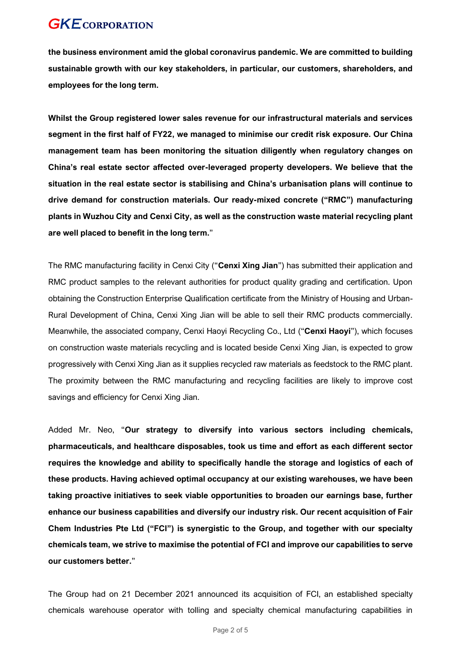**the business environment amid the global coronavirus pandemic. We are committed to building sustainable growth with our key stakeholders, in particular, our customers, shareholders, and employees for the long term.**

**Whilst the Group registered lower sales revenue for our infrastructural materials and services segment in the first half of FY22, we managed to minimise our credit risk exposure. Our China management team has been monitoring the situation diligently when regulatory changes on China's real estate sector affected over-leveraged property developers. We believe that the situation in the real estate sector is stabilising and China's urbanisation plans will continue to drive demand for construction materials. Our ready-mixed concrete ("RMC") manufacturing plants in Wuzhou City and Cenxi City, as well as the construction waste material recycling plant are well placed to benefit in the long term.**"

The RMC manufacturing facility in Cenxi City ("**Cenxi Xing Jian**") has submitted their application and RMC product samples to the relevant authorities for product quality grading and certification. Upon obtaining the Construction Enterprise Qualification certificate from the Ministry of Housing and Urban-Rural Development of China, Cenxi Xing Jian will be able to sell their RMC products commercially. Meanwhile, the associated company, Cenxi Haoyi Recycling Co., Ltd ("**Cenxi Haoyi**"), which focuses on construction waste materials recycling and is located beside Cenxi Xing Jian, is expected to grow progressively with Cenxi Xing Jian as it supplies recycled raw materials as feedstock to the RMC plant. The proximity between the RMC manufacturing and recycling facilities are likely to improve cost savings and efficiency for Cenxi Xing Jian.

Added Mr. Neo, "**Our strategy to diversify into various sectors including chemicals, pharmaceuticals, and healthcare disposables, took us time and effort as each different sector requires the knowledge and ability to specifically handle the storage and logistics of each of these products. Having achieved optimal occupancy at our existing warehouses, we have been taking proactive initiatives to seek viable opportunities to broaden our earnings base, further enhance our business capabilities and diversify our industry risk. Our recent acquisition of Fair Chem Industries Pte Ltd ("FCI") is synergistic to the Group, and together with our specialty chemicals team, we strive to maximise the potential of FCI and improve our capabilities to serve our customers better.**"

The Group had on 21 December 2021 announced its acquisition of FCI, an established specialty chemicals warehouse operator with tolling and specialty chemical manufacturing capabilities in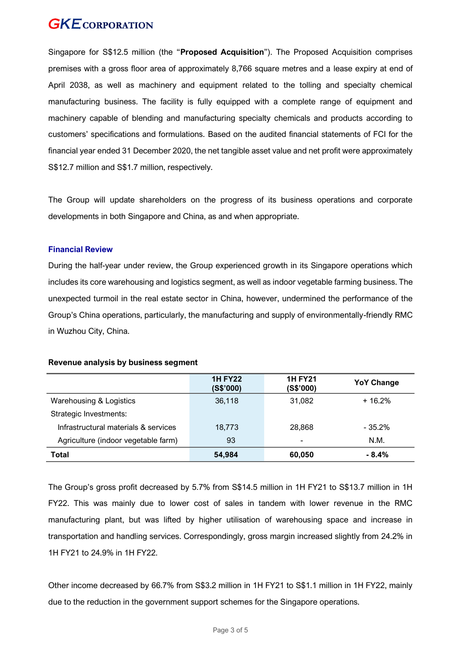Singapore for S\$12.5 million (the "**Proposed Acquisition**"). The Proposed Acquisition comprises premises with a gross floor area of approximately 8,766 square metres and a lease expiry at end of April 2038, as well as machinery and equipment related to the tolling and specialty chemical manufacturing business. The facility is fully equipped with a complete range of equipment and machinery capable of blending and manufacturing specialty chemicals and products according to customers' specifications and formulations. Based on the audited financial statements of FCI for the financial year ended 31 December 2020, the net tangible asset value and net profit were approximately S\$12.7 million and S\$1.7 million, respectively.

The Group will update shareholders on the progress of its business operations and corporate developments in both Singapore and China, as and when appropriate.

#### **Financial Review**

During the half-year under review, the Group experienced growth in its Singapore operations which includes its core warehousing and logistics segment, as well as indoor vegetable farming business. The unexpected turmoil in the real estate sector in China, however, undermined the performance of the Group's China operations, particularly, the manufacturing and supply of environmentally-friendly RMC in Wuzhou City, China.

|                                      | <b>1H FY22</b><br>(S\$'000) | <b>1H FY21</b><br>(S\$'000) | <b>YoY Change</b> |
|--------------------------------------|-----------------------------|-----------------------------|-------------------|
| Warehousing & Logistics              | 36,118                      | 31,082                      | $+16.2%$          |
| Strategic Investments:               |                             |                             |                   |
| Infrastructural materials & services | 18.773                      | 28,868                      | $-35.2\%$         |
| Agriculture (indoor vegetable farm)  | 93                          | $\overline{\phantom{0}}$    | N.M.              |
| Total                                | 54,984                      | 60,050                      | $-8.4%$           |

#### **Revenue analysis by business segment**

The Group's gross profit decreased by 5.7% from S\$14.5 million in 1H FY21 to S\$13.7 million in 1H FY22. This was mainly due to lower cost of sales in tandem with lower revenue in the RMC manufacturing plant, but was lifted by higher utilisation of warehousing space and increase in transportation and handling services. Correspondingly, gross margin increased slightly from 24.2% in 1H FY21 to 24.9% in 1H FY22.

Other income decreased by 66.7% from S\$3.2 million in 1H FY21 to S\$1.1 million in 1H FY22, mainly due to the reduction in the government support schemes for the Singapore operations.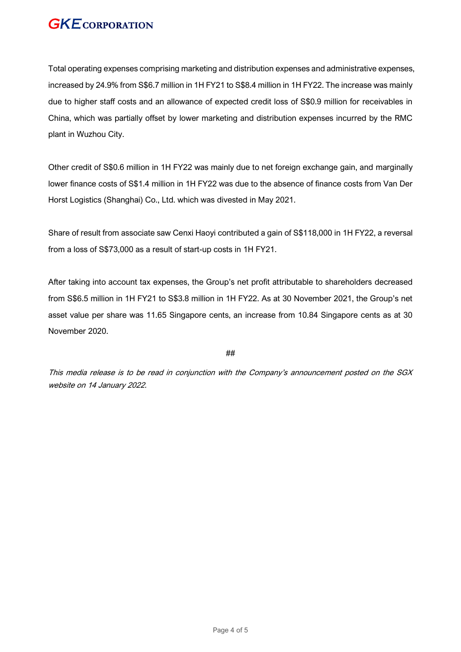Total operating expenses comprising marketing and distribution expenses and administrative expenses, increased by 24.9% from S\$6.7 million in 1H FY21 to S\$8.4 million in 1H FY22. The increase was mainly due to higher staff costs and an allowance of expected credit loss of S\$0.9 million for receivables in China, which was partially offset by lower marketing and distribution expenses incurred by the RMC plant in Wuzhou City.

Other credit of S\$0.6 million in 1H FY22 was mainly due to net foreign exchange gain, and marginally lower finance costs of S\$1.4 million in 1H FY22 was due to the absence of finance costs from Van Der Horst Logistics (Shanghai) Co., Ltd. which was divested in May 2021.

Share of result from associate saw Cenxi Haoyi contributed a gain of S\$118,000 in 1H FY22, a reversal from a loss of S\$73,000 as a result of start-up costs in 1H FY21.

After taking into account tax expenses, the Group's net profit attributable to shareholders decreased from S\$6.5 million in 1H FY21 to S\$3.8 million in 1H FY22. As at 30 November 2021, the Group's net asset value per share was 11.65 Singapore cents, an increase from 10.84 Singapore cents as at 30 November 2020.

##

This media release is to be read in conjunction with the Company's announcement posted on the SGX website on 14 January 2022.